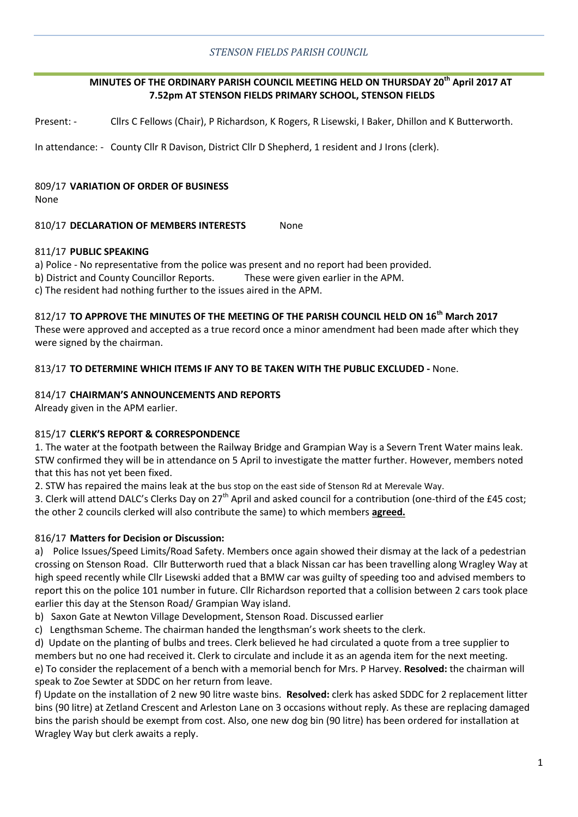## *STENSON FIELDS PARISH COUNCIL*

## **MINUTES OF THE ORDINARY PARISH COUNCIL MEETING HELD ON THURSDAY 20th April 2017 AT 7.52pm AT STENSON FIELDS PRIMARY SCHOOL, STENSON FIELDS**

Present: - Cllrs C Fellows (Chair), P Richardson, K Rogers, R Lisewski, I Baker, Dhillon and K Butterworth.

In attendance: - County Cllr R Davison, District Cllr D Shepherd, 1 resident and J Irons (clerk).

# 809/17 **VARIATION OF ORDER OF BUSINESS**

None

### 810/17 **DECLARATION OF MEMBERS INTERESTS** None

### 811/17 **PUBLIC SPEAKING**

a) Police - No representative from the police was present and no report had been provided.

b) District and County Councillor Reports. These were given earlier in the APM.

c) The resident had nothing further to the issues aired in the APM.

## 812/17 **TO APPROVE THE MINUTES OF THE MEETING OF THE PARISH COUNCIL HELD ON 16th March 2017**

These were approved and accepted as a true record once a minor amendment had been made after which they were signed by the chairman.

### 813/17 **TO DETERMINE WHICH ITEMS IF ANY TO BE TAKEN WITH THE PUBLIC EXCLUDED -** None.

### 814/17 **CHAIRMAN'S ANNOUNCEMENTS AND REPORTS**

Already given in the APM earlier.

### 815/17 **CLERK'S REPORT & CORRESPONDENCE**

1. The water at the footpath between the Railway Bridge and Grampian Way is a Severn Trent Water mains leak. STW confirmed they will be in attendance on 5 April to investigate the matter further. However, members noted that this has not yet been fixed.

2. STW has repaired the mains leak at the bus stop on the east side of Stenson Rd at Merevale Way.

3. Clerk will attend DALC's Clerks Day on  $27<sup>th</sup>$  April and asked council for a contribution (one-third of the £45 cost; the other 2 councils clerked will also contribute the same) to which members **agreed.**

### 816/17 **Matters for Decision or Discussion:**

a) Police Issues/Speed Limits/Road Safety. Members once again showed their dismay at the lack of a pedestrian crossing on Stenson Road. Cllr Butterworth rued that a black Nissan car has been travelling along Wragley Way at high speed recently while Cllr Lisewski added that a BMW car was guilty of speeding too and advised members to report this on the police 101 number in future. Cllr Richardson reported that a collision between 2 cars took place earlier this day at the Stenson Road/ Grampian Way island.

- b) Saxon Gate at Newton Village Development, Stenson Road. Discussed earlier
- c) Lengthsman Scheme. The chairman handed the lengthsman's work sheets to the clerk.

d) Update on the planting of bulbs and trees. Clerk believed he had circulated a quote from a tree supplier to members but no one had received it. Clerk to circulate and include it as an agenda item for the next meeting. e) To consider the replacement of a bench with a memorial bench for Mrs. P Harvey. **Resolved:** the chairman will speak to Zoe Sewter at SDDC on her return from leave.

f) Update on the installation of 2 new 90 litre waste bins. **Resolved:** clerk has asked SDDC for 2 replacement litter bins (90 litre) at Zetland Crescent and Arleston Lane on 3 occasions without reply. As these are replacing damaged bins the parish should be exempt from cost. Also, one new dog bin (90 litre) has been ordered for installation at Wragley Way but clerk awaits a reply.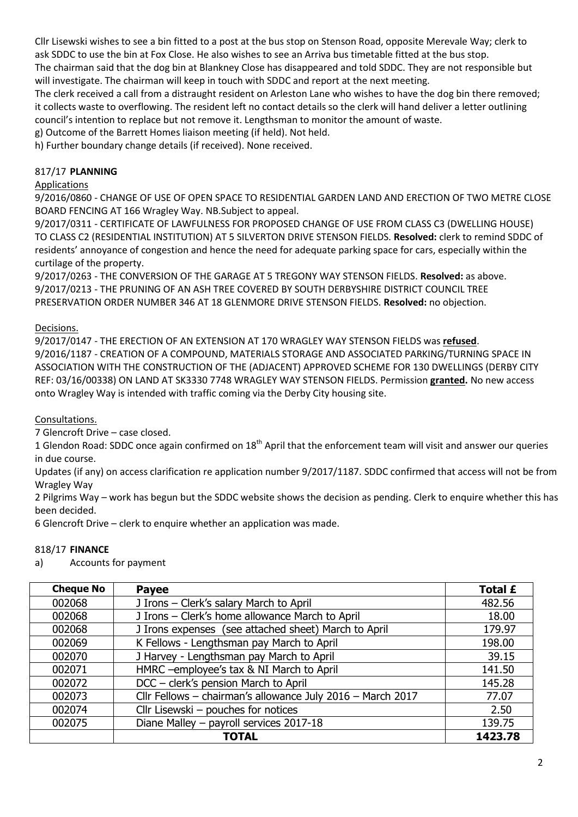Cllr Lisewski wishes to see a bin fitted to a post at the bus stop on Stenson Road, opposite Merevale Way; clerk to ask SDDC to use the bin at Fox Close. He also wishes to see an Arriva bus timetable fitted at the bus stop. The chairman said that the dog bin at Blankney Close has disappeared and told SDDC. They are not responsible but will investigate. The chairman will keep in touch with SDDC and report at the next meeting.

The clerk received a call from a distraught resident on Arleston Lane who wishes to have the dog bin there removed; it collects waste to overflowing. The resident left no contact details so the clerk will hand deliver a letter outlining council's intention to replace but not remove it. Lengthsman to monitor the amount of waste.

g) Outcome of the Barrett Homes liaison meeting (if held). Not held.

h) Further boundary change details (if received). None received.

# 817/17 **PLANNING**

# **Applications**

9/2016/0860 - CHANGE OF USE OF OPEN SPACE TO RESIDENTIAL GARDEN LAND AND ERECTION OF TWO METRE CLOSE BOARD FENCING AT 166 Wragley Way. NB.Subject to appeal.

9/2017/0311 - CERTIFICATE OF LAWFULNESS FOR PROPOSED CHANGE OF USE FROM CLASS C3 (DWELLING HOUSE) TO CLASS C2 (RESIDENTIAL INSTITUTION) AT 5 SILVERTON DRIVE STENSON FIELDS. **Resolved:** clerk to remind SDDC of residents' annoyance of congestion and hence the need for adequate parking space for cars, especially within the curtilage of the property.

9/2017/0263 - THE CONVERSION OF THE GARAGE AT 5 TREGONY WAY STENSON FIELDS. **Resolved:** as above. 9/2017/0213 - THE PRUNING OF AN ASH TREE COVERED BY SOUTH DERBYSHIRE DISTRICT COUNCIL TREE PRESERVATION ORDER NUMBER 346 AT 18 GLENMORE DRIVE STENSON FIELDS. **Resolved:** no objection.

# Decisions.

9/2017/0147 - THE ERECTION OF AN EXTENSION AT 170 WRAGLEY WAY STENSON FIELDS was **refused**. 9/2016/1187 - CREATION OF A COMPOUND, MATERIALS STORAGE AND ASSOCIATED PARKING/TURNING SPACE IN ASSOCIATION WITH THE CONSTRUCTION OF THE (ADJACENT) APPROVED SCHEME FOR 130 DWELLINGS (DERBY CITY REF: 03/16/00338) ON LAND AT SK3330 7748 WRAGLEY WAY STENSON FIELDS. Permission **granted.** No new access onto Wragley Way is intended with traffic coming via the Derby City housing site.

## Consultations.

7 Glencroft Drive – case closed.

1 Glendon Road: SDDC once again confirmed on 18<sup>th</sup> April that the enforcement team will visit and answer our queries in due course.

Updates (if any) on access clarification re application number 9/2017/1187. SDDC confirmed that access will not be from Wragley Way

2 Pilgrims Way – work has begun but the SDDC website shows the decision as pending. Clerk to enquire whether this has been decided.

6 Glencroft Drive – clerk to enquire whether an application was made.

## 818/17 **FINANCE**

a) Accounts for payment

| <b>Cheque No</b> | <b>Payee</b>                                               | <b>Total £</b> |
|------------------|------------------------------------------------------------|----------------|
| 002068           | J Irons - Clerk's salary March to April                    | 482.56         |
| 002068           | J Irons - Clerk's home allowance March to April            | 18.00          |
| 002068           | J Irons expenses (see attached sheet) March to April       | 179.97         |
| 002069           | K Fellows - Lengthsman pay March to April                  | 198.00         |
| 002070           | J Harvey - Lengthsman pay March to April                   | 39.15          |
| 002071           | HMRC -employee's tax & NI March to April                   | 141.50         |
| 002072           | DCC - clerk's pension March to April                       | 145.28         |
| 002073           | Cllr Fellows - chairman's allowance July 2016 - March 2017 | 77.07          |
| 002074           | Cllr Lisewski - pouches for notices                        | 2.50           |
| 002075           | Diane Malley - payroll services 2017-18                    | 139.75         |
|                  | <b>TOTAL</b>                                               | 1423.78        |